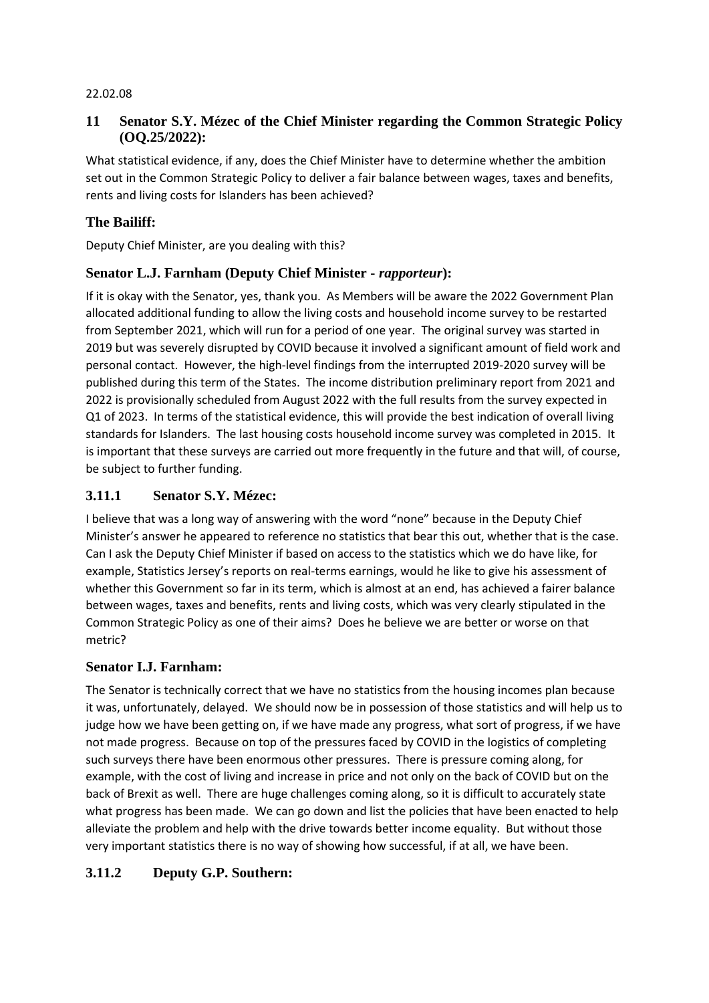#### 22.02.08

### **11 Senator S.Y. Mézec of the Chief Minister regarding the Common Strategic Policy (OQ.25/2022):**

What statistical evidence, if any, does the Chief Minister have to determine whether the ambition set out in the Common Strategic Policy to deliver a fair balance between wages, taxes and benefits, rents and living costs for Islanders has been achieved?

### **The Bailiff:**

Deputy Chief Minister, are you dealing with this?

### **Senator L.J. Farnham (Deputy Chief Minister -** *rapporteur***):**

If it is okay with the Senator, yes, thank you. As Members will be aware the 2022 Government Plan allocated additional funding to allow the living costs and household income survey to be restarted from September 2021, which will run for a period of one year. The original survey was started in 2019 but was severely disrupted by COVID because it involved a significant amount of field work and personal contact. However, the high-level findings from the interrupted 2019-2020 survey will be published during this term of the States. The income distribution preliminary report from 2021 and 2022 is provisionally scheduled from August 2022 with the full results from the survey expected in Q1 of 2023. In terms of the statistical evidence, this will provide the best indication of overall living standards for Islanders. The last housing costs household income survey was completed in 2015. It is important that these surveys are carried out more frequently in the future and that will, of course, be subject to further funding.

### **3.11.1 Senator S.Y. Mézec:**

I believe that was a long way of answering with the word "none" because in the Deputy Chief Minister's answer he appeared to reference no statistics that bear this out, whether that is the case. Can I ask the Deputy Chief Minister if based on access to the statistics which we do have like, for example, Statistics Jersey's reports on real-terms earnings, would he like to give his assessment of whether this Government so far in its term, which is almost at an end, has achieved a fairer balance between wages, taxes and benefits, rents and living costs, which was very clearly stipulated in the Common Strategic Policy as one of their aims? Does he believe we are better or worse on that metric?

### **Senator I.J. Farnham:**

The Senator is technically correct that we have no statistics from the housing incomes plan because it was, unfortunately, delayed. We should now be in possession of those statistics and will help us to judge how we have been getting on, if we have made any progress, what sort of progress, if we have not made progress. Because on top of the pressures faced by COVID in the logistics of completing such surveys there have been enormous other pressures. There is pressure coming along, for example, with the cost of living and increase in price and not only on the back of COVID but on the back of Brexit as well. There are huge challenges coming along, so it is difficult to accurately state what progress has been made. We can go down and list the policies that have been enacted to help alleviate the problem and help with the drive towards better income equality. But without those very important statistics there is no way of showing how successful, if at all, we have been.

### **3.11.2 Deputy G.P. Southern:**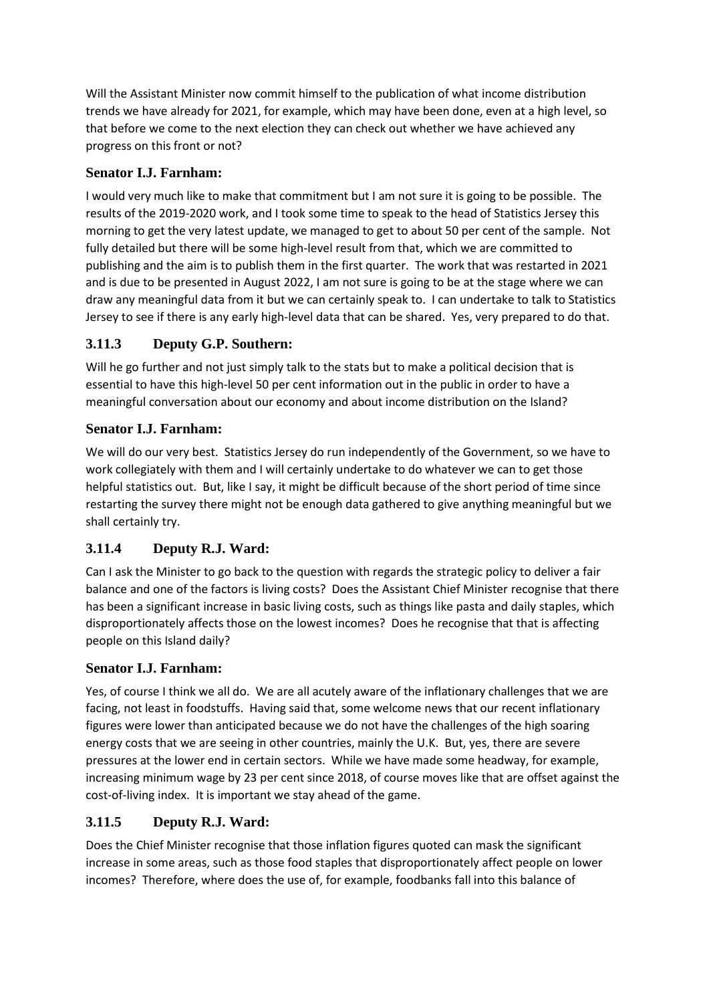Will the Assistant Minister now commit himself to the publication of what income distribution trends we have already for 2021, for example, which may have been done, even at a high level, so that before we come to the next election they can check out whether we have achieved any progress on this front or not?

## **Senator I.J. Farnham:**

I would very much like to make that commitment but I am not sure it is going to be possible. The results of the 2019-2020 work, and I took some time to speak to the head of Statistics Jersey this morning to get the very latest update, we managed to get to about 50 per cent of the sample. Not fully detailed but there will be some high-level result from that, which we are committed to publishing and the aim is to publish them in the first quarter. The work that was restarted in 2021 and is due to be presented in August 2022, I am not sure is going to be at the stage where we can draw any meaningful data from it but we can certainly speak to. I can undertake to talk to Statistics Jersey to see if there is any early high-level data that can be shared. Yes, very prepared to do that.

# **3.11.3 Deputy G.P. Southern:**

Will he go further and not just simply talk to the stats but to make a political decision that is essential to have this high-level 50 per cent information out in the public in order to have a meaningful conversation about our economy and about income distribution on the Island?

## **Senator I.J. Farnham:**

We will do our very best. Statistics Jersey do run independently of the Government, so we have to work collegiately with them and I will certainly undertake to do whatever we can to get those helpful statistics out. But, like I say, it might be difficult because of the short period of time since restarting the survey there might not be enough data gathered to give anything meaningful but we shall certainly try.

# **3.11.4 Deputy R.J. Ward:**

Can I ask the Minister to go back to the question with regards the strategic policy to deliver a fair balance and one of the factors is living costs? Does the Assistant Chief Minister recognise that there has been a significant increase in basic living costs, such as things like pasta and daily staples, which disproportionately affects those on the lowest incomes? Does he recognise that that is affecting people on this Island daily?

## **Senator I.J. Farnham:**

Yes, of course I think we all do. We are all acutely aware of the inflationary challenges that we are facing, not least in foodstuffs. Having said that, some welcome news that our recent inflationary figures were lower than anticipated because we do not have the challenges of the high soaring energy costs that we are seeing in other countries, mainly the U.K. But, yes, there are severe pressures at the lower end in certain sectors. While we have made some headway, for example, increasing minimum wage by 23 per cent since 2018, of course moves like that are offset against the cost-of-living index. It is important we stay ahead of the game.

## **3.11.5 Deputy R.J. Ward:**

Does the Chief Minister recognise that those inflation figures quoted can mask the significant increase in some areas, such as those food staples that disproportionately affect people on lower incomes? Therefore, where does the use of, for example, foodbanks fall into this balance of